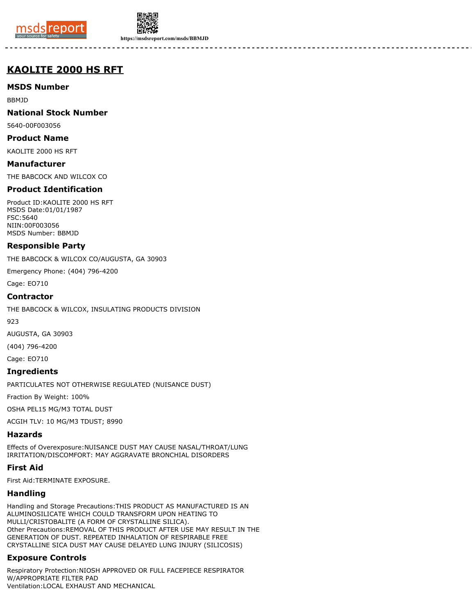



**https://msdsreport.com/msds/BBMJD**

# **KAOLITE 2000 HS RFT**

**MSDS Number**

BBMJD

**National Stock Number**

5640-00F003056

**Product Name**

KAOLITE 2000 HS RFT

**Manufacturer** THE BABCOCK AND WILCOX CO

### **Product Identification**

Product ID:KAOLITE 2000 HS RFT MSDS Date:01/01/1987 FSC:5640 NIIN:00F003056 MSDS Number: BBMJD

### **Responsible Party**

THE BABCOCK & WILCOX CO/AUGUSTA, GA 30903

Emergency Phone: (404) 796-4200

Cage: EO710

#### **Contractor**

THE BABCOCK & WILCOX, INSULATING PRODUCTS DIVISION

923

AUGUSTA, GA 30903

(404) 796-4200

Cage: EO710

### **Ingredients**

PARTICULATES NOT OTHERWISE REGULATED (NUISANCE DUST)

Fraction By Weight: 100%

OSHA PEL15 MG/M3 TOTAL DUST

ACGIH TLV: 10 MG/M3 TDUST; 8990

### **Hazards**

Effects of Overexposure:NUISANCE DUST MAY CAUSE NASAL/THROAT/LUNG IRRITATION/DISCOMFORT: MAY AGGRAVATE BRONCHIAL DISORDERS

### **First Aid**

First Aid:TERMINATE EXPOSURE.

### **Handling**

Handling and Storage Precautions:THIS PRODUCT AS MANUFACTURED IS AN ALUMINOSILICATE WHICH COULD TRANSFORM UPON HEATING TO MULLI/CRISTOBALITE (A FORM OF CRYSTALLINE SILICA). Other Precautions:REMOVAL OF THIS PRODUCT AFTER USE MAY RESULT IN THE GENERATION OF DUST. REPEATED INHALATION OF RESPIRABLE FREE CRYSTALLINE SICA DUST MAY CAUSE DELAYED LUNG INJURY (SILICOSIS)

## **Exposure Controls**

Respiratory Protection:NIOSH APPROVED OR FULL FACEPIECE RESPIRATOR W/APPROPRIATE FILTER PAD Ventilation:LOCAL EXHAUST AND MECHANICAL